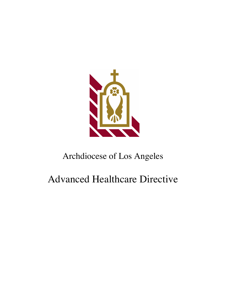

## Archdiocese of Los Angeles

# Advanced Healthcare Directive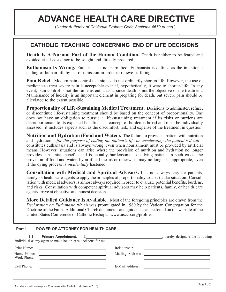### **ADVANCE HEALTH CARE DIRECTIVE**

(*Under Authority of California Probate Code Sections 4670 et seq.*)

### **CATHOLIC TEACHING CONCERNING END OF LIFE DECISIONS**

**Death Is A Normal Part of the Human Condition.** Death is neither to be feared and avoided at all costs, nor to be sought and directly procured.

**Euthanasia Is Wrong.** Euthanasia is not permitted. Euthanasia is defined as the intentional ending of human life by act or omission in order to relieve suffering.

**Pain Relief.** Modern pain control techniques do not ordinarily shorten life. However, the use of medicine to treat severe pain is acceptable even if, hypothetically, it were to shorten life. In any event, pain control is not the same as euthanasia, since death is not the objective of the treatment. Maintenance of lucidity is an important element in preparing for death, but severe pain should be alleviated to the extent possible.

**Proportionality of Life-Sustaining Medical Treatment.** Decisions to administer, refuse, or discontinue life-sustaining treatment should be based on the concept of proportionality. One does not have an obligation to pursue a life-sustaining treatment if its risks or burdens are disproportionate to its expected benefits. The concept of burden is broad and must be individually assessed; it includes aspects such as the discomfort, risk, and expense of the treatment in question.

**Nutrition and Hydration (Food and Water).** The failure to provide a patient with nutrition and hydration – *for the purpose of ending the patient's life or accelerating the patient's death* – constitutes euthanasia and is always wrong, even when nourishment must be provided by artificial means. However, situations can arise where the provision of nutrition and hydration no longer provides substantial benefits and is actually burdensome to a dying patient. In such cases, the provision of food and water, by artificial means or otherwise, may no longer be appropriate, even if the dying process is *incidentally* hastened.

**Consultation with Medical and Spiritual Advisors.** It is not always easy for patients, family, or health care agents to apply the principles of proportionality to a particular situation. Consultation with medical advisors is almost always required in order to evaluate potential benefits, burdens, and risks. Consultation with competent spiritual advisors may help patients, family, or health care agents arrive at objective and honest decisions.

**More Detailed Guidance Is Available.** Most of the foregoing principles are drawn from the *Declaration on Euthanasia* which was promulgated in 1980 by the Vatican Congregation for the Doctrine of the Faith. Additional Church documents and guidance can be found on the website of the United States Conference of Catholic Bishops: www.usccb.org/prolife.

#### **Part 1 – POWER OF ATTORNEY FOR HEALTH CARE**

| Primary Appointment. I, 1, 2008.<br>1.1<br>individual as my agent to make health care decisions for me: | hereby designate the following                                                                                                                                                                                                 |
|---------------------------------------------------------------------------------------------------------|--------------------------------------------------------------------------------------------------------------------------------------------------------------------------------------------------------------------------------|
| Print Name:                                                                                             | Relationship:                                                                                                                                                                                                                  |
| Home Phone:<br>Work Phone:                                                                              | Mailing Address: National Address and Address and Address and Address and Address and Address and Address and Address and Address and Address and Address and Address and Address and Address and Address and Address and Addr |
| Cell Phone:                                                                                             | E-Mail Address:                                                                                                                                                                                                                |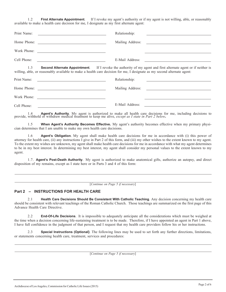1.2 **First Alternate Appointment**. If I revoke my agent's authority or if my agent is not willing, able, or reasonably available to make a health care decision for me, I designate as my first alternate agent:

| Print Name: | Relationship:<br><u> 1980 - Andrea Barbara, poeta esperanto-poeta esperanto-poeta esperanto-poeta esperanto-poeta esperanto-poeta</u>                                                                                                             |  |
|-------------|---------------------------------------------------------------------------------------------------------------------------------------------------------------------------------------------------------------------------------------------------|--|
| Home Phone: |                                                                                                                                                                                                                                                   |  |
| Work Phone: |                                                                                                                                                                                                                                                   |  |
| Cell Phone: |                                                                                                                                                                                                                                                   |  |
| 1.3         | <b>Second Alternate Appointment</b> . If I revoke the authority of my agent and first alternate agent or if neither is<br>willing, able, or reasonably available to make a health care decision for me, I designate as my second alternate agent: |  |
| Print Name: | Relationship:<br><u> 1989 - Johann Stein, mars an t-Amerikaansk kommunister (</u>                                                                                                                                                                 |  |
| Home Phone: | Mailing Address:                                                                                                                                                                                                                                  |  |
| Work Phone: |                                                                                                                                                                                                                                                   |  |
| Cell Phone: | E-Mail Address:                                                                                                                                                                                                                                   |  |

1.4 **Agent's Authority**. My agent is authorized to make all health care decisions for me, including decisions to provide, withhold or withdraw medical treatment to keep me alive, *except as I state in Part 2 below*.

1.5 **When Agent's Authority Becomes Effective.** My agent's authority becomes effective when my primary physician determines that I am unable to make my own health care decisions.

1.6 **Agent's Obligation**. My agent shall make health care decisions for me in accordance with (i) this power of attorney for health care, (ii) any instructions I give in Part 2 of this form, and (iii) my other wishes to the extent known to my agent. To the extent my wishes are unknown, my agent shall make health care decisions for me in accordance with what my agent determines to be in my best interest. In determining my best interest, my agent shall consider my personal values to the extent known to my agent.

1.7. **Agent's Post-Death Authority**. My agent is authorized to make anatomical gifts, authorize an autopsy, and direct disposition of my remains, except as I state here or in Parts 3 and 4 of this form:

[*Continue on Page 5 if necessary*]

#### **Part 2 – INSTRUCTIONS FOR HEALTH CARE**

2.1 **Health Care Decisions Should Be Consistent With Catholic Teaching**. Any decision concerning my health care should be consistent with relevant teachings of the Roman Catholic Church. Those teachings are summarized on the first page of this Advance Health Care Directive.

2.2 **End-Of-Life Decisions**. It is impossible to adequately anticipate all the considerations which must be weighed at the time when a decision concerning life-sustaining treatment is to be made. Therefore, if I have appointed an agent in Part 1 above, I have full confidence in the judgment of that person, and I request that my health care providers follow his or her instructions.

2.3 **Special Instructions (Optional)**. The following lines may be used to set forth any further directions, limitations, or statements concerning health care, treatment, services and procedures:

[*Continue on Page 5 if necessary*]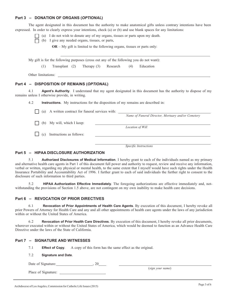#### **Part 3 – DONATION OF ORGANS (***OPTIONAL***)**

The agent designated in this document has the authority to make anatomical gifts unless contrary intentions have been expressed. In order to clearly express your intentions, check (a) or (b) and use blank spaces for any limitations:



- (a) I do not wish to donate any of my organs, tissues or parts upon my death.
- $\Box$  (b) I give any needed organs, tissues, or parts,

**OR** – My gift is limited to the following organs, tissues or parts only:

My gift is for the following purposes (cross out any of the following you do not want):

(1) Transplant (2) Therapy (3) Research (4) Education

Other limitations:

#### **Part 4 – DISPOSITION OF REMAINS (***OPTIONAL***)**

4.1 **Agent's Authority**. I understand that my agent designated in this document has the authority to dispose of my remains unless I otherwise provide, in writing.

4.2 **Instructions**. My instructions for the disposition of my remains are described in:

| (a) | A written contract for funeral services with: |                                                    |
|-----|-----------------------------------------------|----------------------------------------------------|
|     |                                               | Name of Funeral Director, Mortuary and/or Cemetery |
| (b) | My will, which I keep:                        |                                                    |
|     |                                               | Location of Will                                   |
| (c) | Instructions as follows:                      |                                                    |
|     |                                               |                                                    |
|     |                                               | Specific Instructions                              |

#### **Part 5 – HIPAA DISCLOSURE AUTHORIZATION**

5.1 **Authorized Disclosures of Medical Information**. I hereby grant to each of the individuals named as my primary and alternative health care agents in Part 1 of this document full power and authority to request, review and receive any information, verbal or written, regarding my physical or mental health, to the same extent that I myself would have such rights under the Health Insurance Portability and Accountability Act of 1996. I further grant to each of said individuals the further right to consent to the disclosure of such information to third parties.

5.2 **HIPAA Authorization Effective Immediately**. The foregoing authorizations are effective immediately and, notwithstanding the provisions of Section 1.5 above, are not contingent on my own inability to make health care decisions.

#### **Part 6 – REVOCATION OF PRIOR DIRECTIVES**

6.1 **Revocation of Prior Appointments of Health Care Agents**. By execution of this document, I hereby revoke all prior Powers of Attorney for Health Care and any and all other appointments of health care agents under the laws of any jurisdiction within or without the United States of America.

6.2 **Revocation of Prior Health Care Directives**. By execution of this document, I hereby revoke all prior documents, wherever executed within or without the United States of America, which would be deemed to function as an Advance Health Care Directive under the laws of the State of California.

#### **Part 7 – SIGNATURE AND WITNESSES**

7.1 **Effect of Copy**. A copy of this form has the same effect as the original.

#### 7.2 **Signature and Date**.

Date of Signature:  $0, 20$ 

Place of Signature:

(*sign your name*)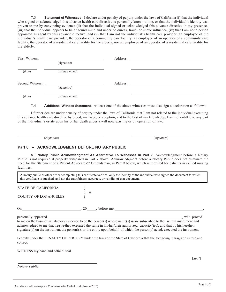7.3 **Statement of Witnesses**. I declare under penalty of perjury under the laws of California (i) that the individual who signed or acknowledged this advance health care directive is personally known to me, or that the individual's identity was proven to me by convincing evidence (ii) that the individual signed or acknowledged this advance directive in my presence, (iii) that the individual appears to be of sound mind and under no duress, fraud, or undue influence, (iv) that I am not a person appointed as agent by this advance directive, and (v) that I am not the individual's health care provider, an employee of the individual's health care provider, the operator of a community care facility, an employee of an operator of a community care facility, the operator of a residential care facility for the elderly, nor an employee of an operator of a residential care facility for the elderly.

| First Witness:  |                | Address: |  |  |
|-----------------|----------------|----------|--|--|
|                 | (signature)    |          |  |  |
| (data)          | (printed name) |          |  |  |
| Second Witness: |                | Address: |  |  |
|                 | (signature)    |          |  |  |
| (data)          | (printed name) |          |  |  |

7.4 **Additional Witness Statement**. At least one of the above witnesses must also sign a declaration as follows:

I further declare under penalty of perjury under the laws of California that I am not related to the individual executing this advance health care directive by blood, marriage, or adoption, and to the best of my knowledge, I am not entitled to any part of the individual's estate upon his or her death under a will now existing or by operation of law.

(*signature*) (*signature*)

#### **Part 8 – ACKNOWLEDGMENT BEFORE NOTARY PUBLIC**

8.1 **Notary Public Acknowledgment As Alternative To Witnesses In Part 7**. Acknowledgment before a Notary Public is not required if properly witnessed in Part 7 above. Acknowledgment before a Notary Public does not eliminate the need for the Statement of a Patient Advocate or Ombudsman, in Part 9 below, which is required for patients in skilled nursing facilities.

A notary public or other officer completing this certificate verifies only the identity of the individual who signed the document to which this certificate is attached, and not the truthfulness, accuracy, or validity of that document.

| <b>STATE OF CALIFORNIA</b> |  |
|----------------------------|--|
|                            |  |
| COUNTY OF LOC INCELES      |  |

COUNTY OF LOS ANGELES )

On , 20 , before me, ,

) ss

personally appeared , who proved

 to me on the basis of satisfactory evidence to be the person(s) whose name(s) is/are subscribed to the within instrument and acknowledged to me that he/she/they executed the same in his/her/their authorized capacity(ies), and that by his/her/their signature(s) on the instrument the person(s), or the entity upon behalf of which the person(s) acted, executed the instrument.

 I certify under the PENALTY OF PERJURY under the laws of the State of California that the foregoing paragraph is true and correct.

WITNESS my hand and official seal

 *Notary Public*

[*Seal*]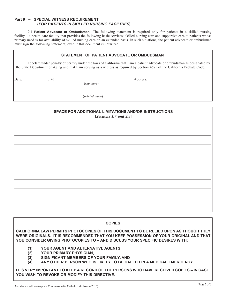#### **Part 9 – SPECIAL WITNESS REQUIREMENT (***FOR PATIENTS IN SKILLED NURSING FACILITIES***)**

9.1 **Patient Advocate or Ombudsman**. The following statement is required only for patients in a skilled nursing facility – a health care facility that provides the following basic services: skilled nursing care and supportive care to patients whose primary need is for availability of skilled nursing care on an extended basis. In such situations, the patient advocate or ombudsman must sign the following statement, even if this document is notarized.

| STATEMENT OF PATIENT ADVOCATE OR OMBUDSMAN |  |                                                                                                                                                                                                                                                                                                                                                                                                                    |                                                                                                                                                                                                                                                            |
|--------------------------------------------|--|--------------------------------------------------------------------------------------------------------------------------------------------------------------------------------------------------------------------------------------------------------------------------------------------------------------------------------------------------------------------------------------------------------------------|------------------------------------------------------------------------------------------------------------------------------------------------------------------------------------------------------------------------------------------------------------|
|                                            |  |                                                                                                                                                                                                                                                                                                                                                                                                                    | I declare under penalty of perjury under the laws of California that I am a patient advocate or ombudsman as designated by<br>the State Department of Aging and that I am serving as a witness as required by Section 4675 of the California Probate Code. |
| Date:                                      |  | $\frac{20}{\sqrt{1-\frac{1}{20}}}\frac{1}{\sqrt{1-\frac{1}{20}}}\frac{1}{\sqrt{1-\frac{1}{20}}}\frac{1}{\sqrt{1-\frac{1}{20}}}\frac{1}{\sqrt{1-\frac{1}{20}}}\frac{1}{\sqrt{1-\frac{1}{20}}}\frac{1}{\sqrt{1-\frac{1}{20}}}\frac{1}{\sqrt{1-\frac{1}{20}}}\frac{1}{\sqrt{1-\frac{1}{20}}}\frac{1}{\sqrt{1-\frac{1}{20}}}\frac{1}{\sqrt{1-\frac{1}{20}}}\frac{1}{\sqrt{1-\frac{1}{20}}}\frac{1}{\sqrt{1-\frac{1}{2$ |                                                                                                                                                                                                                                                            |
|                                            |  | (printed name)                                                                                                                                                                                                                                                                                                                                                                                                     |                                                                                                                                                                                                                                                            |
|                                            |  |                                                                                                                                                                                                                                                                                                                                                                                                                    |                                                                                                                                                                                                                                                            |
|                                            |  |                                                                                                                                                                                                                                                                                                                                                                                                                    |                                                                                                                                                                                                                                                            |
|                                            |  |                                                                                                                                                                                                                                                                                                                                                                                                                    |                                                                                                                                                                                                                                                            |

**COPIES**

**CALIFORNIA LAW PERMITS PHOTOCOPIES OF THIS DOCUMENT TO BE RELIED UPON AS THOUGH THEY WERE ORIGINALS. IT IS RECOMMENDED THAT YOU KEEP POSSESSION OF YOUR ORIGINAL AND THAT YOU CONSIDER GIVING PHOTOCOPIES TO – AND DISCUSS YOUR SPECIFIC DESIRES WITH:**

**(1) YOUR AGENT AND ALTERNATIVE AGENTS,**

- **(2) YOUR PRIMARY PHYSICIAN,**
- **(3) SIGNIFICANT MEMBERS OF YOUR FAMILY, AND**
- **(4) ANY OTHER PERSON WHO IS LIKELY TO BE CALLED IN A MEDICAL EMERGENCY.**

**IT IS VERY IMPORTANT TO KEEP A RECORD OF THE PERSONS WHO HAVE RECEIVED COPIES – IN CASE YOU WISH TO REVOKE OR MODIFY THIS DIRECTIVE.**